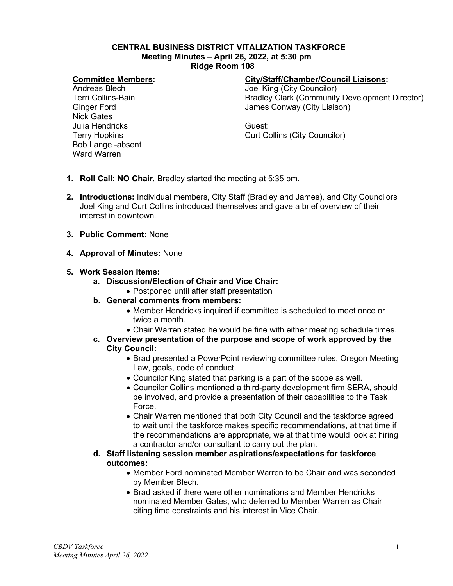#### **CENTRAL BUSINESS DISTRICT VITALIZATION TASKFORCE Meeting Minutes – April 26, 2022, at 5:30 pm Ridge Room 108**

### **Committee Members:**

Andreas Blech Terri Collins-Bain Ginger Ford Nick Gates Julia Hendricks Terry Hopkins Bob Lange -absent Ward Warren

### **City/Staff/Chamber/Council Liaisons:**

Joel King (City Councilor) Bradley Clark (Community Development Director) James Conway (City Liaison)

Guest: Curt Collins (City Councilor)

- 
- **1. Roll Call: NO Chair**, Bradley started the meeting at 5:35 pm.
- **2. Introductions:** Individual members, City Staff (Bradley and James), and City Councilors Joel King and Curt Collins introduced themselves and gave a brief overview of their interest in downtown.
- **3. Public Comment:** None
- **4. Approval of Minutes:** None

### **5. Work Session Items:**

- **a. Discussion/Election of Chair and Vice Chair:**
	- Postponed until after staff presentation
- **b. General comments from members:** 
	- Member Hendricks inquired if committee is scheduled to meet once or twice a month.
	- Chair Warren stated he would be fine with either meeting schedule times.
- **c. Overview presentation of the purpose and scope of work approved by the City Council:**
	- Brad presented a PowerPoint reviewing committee rules, Oregon Meeting Law, goals, code of conduct.
	- Councilor King stated that parking is a part of the scope as well.
	- Councilor Collins mentioned a third-party development firm SERA, should be involved, and provide a presentation of their capabilities to the Task Force.
	- Chair Warren mentioned that both City Council and the taskforce agreed to wait until the taskforce makes specific recommendations, at that time if the recommendations are appropriate, we at that time would look at hiring a contractor and/or consultant to carry out the plan.
- **d. Staff listening session member aspirations/expectations for taskforce outcomes:**
	- Member Ford nominated Member Warren to be Chair and was seconded by Member Blech.
	- Brad asked if there were other nominations and Member Hendricks nominated Member Gates, who deferred to Member Warren as Chair citing time constraints and his interest in Vice Chair.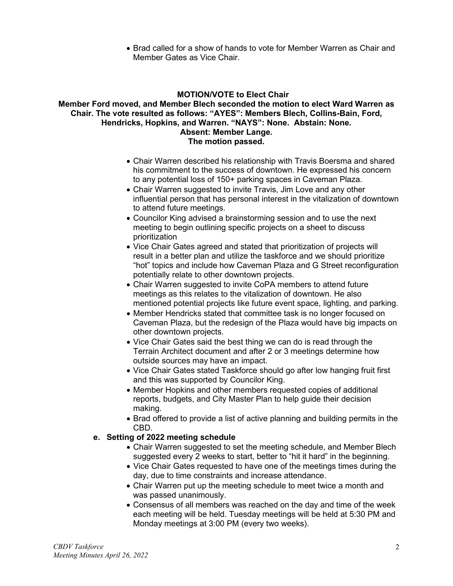• Brad called for a show of hands to vote for Member Warren as Chair and Member Gates as Vice Chair.

## **MOTION/VOTE to Elect Chair**

#### **Member Ford moved, and Member Blech seconded the motion to elect Ward Warren as Chair. The vote resulted as follows: "AYES": Members Blech, Collins-Bain, Ford, Hendricks, Hopkins, and Warren. "NAYS": None. Abstain: None. Absent: Member Lange. The motion passed.**

- Chair Warren described his relationship with Travis Boersma and shared his commitment to the success of downtown. He expressed his concern to any potential loss of 150+ parking spaces in Caveman Plaza.
- Chair Warren suggested to invite Travis, Jim Love and any other influential person that has personal interest in the vitalization of downtown to attend future meetings.
- Councilor King advised a brainstorming session and to use the next meeting to begin outlining specific projects on a sheet to discuss prioritization
- Vice Chair Gates agreed and stated that prioritization of projects will result in a better plan and utilize the taskforce and we should prioritize "hot" topics and include how Caveman Plaza and G Street reconfiguration potentially relate to other downtown projects.
- Chair Warren suggested to invite CoPA members to attend future meetings as this relates to the vitalization of downtown. He also mentioned potential projects like future event space, lighting, and parking.
- Member Hendricks stated that committee task is no longer focused on Caveman Plaza, but the redesign of the Plaza would have big impacts on other downtown projects.
- Vice Chair Gates said the best thing we can do is read through the Terrain Architect document and after 2 or 3 meetings determine how outside sources may have an impact.
- Vice Chair Gates stated Taskforce should go after low hanging fruit first and this was supported by Councilor King.
- Member Hopkins and other members requested copies of additional reports, budgets, and City Master Plan to help guide their decision making.
- Brad offered to provide a list of active planning and building permits in the CBD.

### **e. Setting of 2022 meeting schedule**

- Chair Warren suggested to set the meeting schedule, and Member Blech suggested every 2 weeks to start, better to "hit it hard" in the beginning.
- Vice Chair Gates requested to have one of the meetings times during the day, due to time constraints and increase attendance.
- Chair Warren put up the meeting schedule to meet twice a month and was passed unanimously.
- Consensus of all members was reached on the day and time of the week each meeting will be held. Tuesday meetings will be held at 5:30 PM and Monday meetings at 3:00 PM (every two weeks).